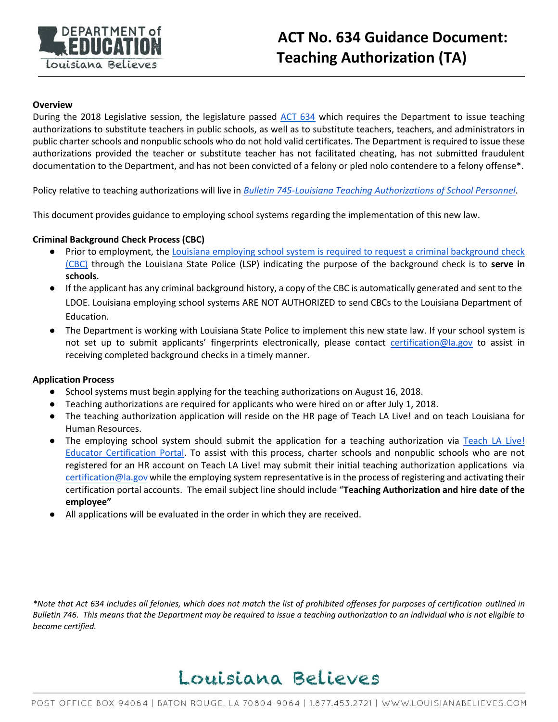

### **Overview**

During the 2018 Legislative session, the legislature passed [ACT 634](http://www.legis.la.gov/Legis/ViewDocument.aspx?d=1103407) which requires the Department to issue teaching authorizations to substitute teachers in public schools, as well as to substitute teachers, teachers, and administrators in public charter schools and nonpublic schools who do not hold valid certificates. The Department is required to issue these authorizations provided the teacher or substitute teacher has not facilitated cheating, has not submitted fraudulent documentation to the Department, and has not been convicted of a felony or pled nolo contendere to a felony offense\*.

Policy relative to teaching authorizations will live in *[Bulletin 745-Louisiana Teaching Authorizations of School Personnel](https://www.boarddocs.com/la/bese/Board.nsf/files/B3E2UR7110EB/$file/EE_Act634_B745_Aug_2018.pdf)*.

This document provides guidance to employing school systems regarding the implementation of this new law.

## **Criminal Background Check Process (CBC)**

- Prior to employment, th[e Louisiana employing school system is required to request a criminal background check](http://www.legis.la.gov/Legis/Law.aspx?d=79855)  [\(CBC\)](http://www.legis.la.gov/Legis/Law.aspx?d=79855) through the Louisiana State Police (LSP) indicating the purpose of the background check is to **serve in schools.**
- If the applicant has any criminal background history, a copy of the CBC is automatically generated and sent to the LDOE. Louisiana employing school systems ARE NOT AUTHORIZED to send CBCs to the Louisiana Department of Education.
- The Department is working with Louisiana State Police to implement this new state law. If your school system is not set up to submit applicants' fingerprints electronically, please contact [certification@la.gov](mailto:certification@la.gov) to assist in receiving completed background checks in a timely manner.

#### **Application Process**

- School systems must begin applying for the teaching authorizations on August 16, 2018.
- Teaching authorizations are required for applicants who were hired on or after July 1, 2018.
- The teaching authorization application will reside on the HR page of Teach LA Live! and on teach Louisiana for Human Resources.
- The employing school system should submit the application for a teaching authorization via [Teach LA Live!](https://ldoe.force.com/s/)  [Educator Certification Portal.](https://ldoe.force.com/s/) To assist with this process, charter schools and nonpublic schools who are not registered for an HR account on Teach LA Live! may submit their initial teaching authorization applications via [certification@la.gov](mailto:certification@la.gov) while the employing system representative is in the process of registering and activating their certification portal accounts. The email subject line should include "**Teaching Authorization and hire date of the employee"**
- All applications will be evaluated in the order in which they are received.

*\*Note that Act 634 includes all felonies, which does not match the list of prohibited offenses for purposes of certification outlined in Bulletin 746. This means that the Department may be required to issue a teaching authorization to an individual who is not eligible to become certified.*

# Louisiana Believes